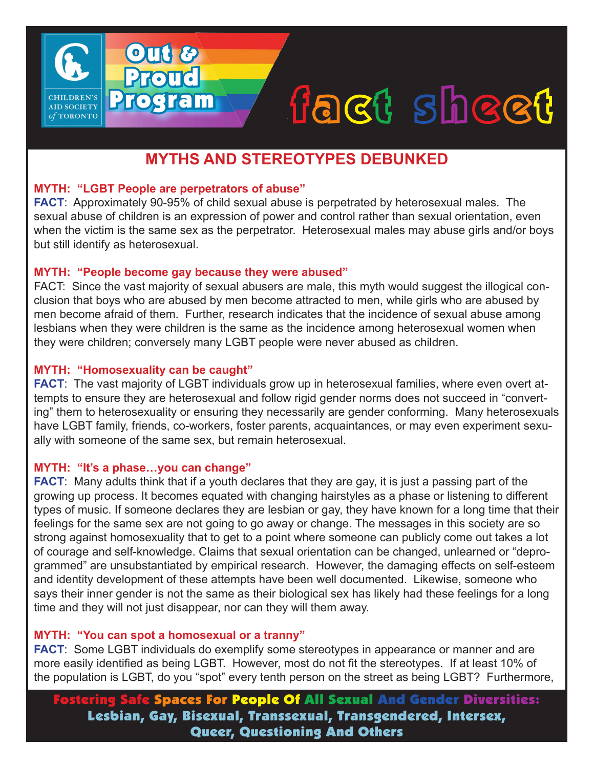# fact sheet

# **MYTHS AND STEREOTYPES DEBUNKED**

# **MYTH: "LGBT People are perpetrators of abuse"**

Out &

**Proud** 

Program

**AID SOCIETY** TORONTO

**FACT**: Approximately 90-95% of child sexual abuse is perpetrated by heterosexual males. The sexual abuse of children is an expression of power and control rather than sexual orientation, even when the victim is the same sex as the perpetrator. Heterosexual males may abuse girls and/or boys but still identify as heterosexual.

#### **MYTH: "People become gay because they were abused"**

FACT: Since the vast majority of sexual abusers are male, this myth would suggest the illogical conclusion that boys who are abused by men become attracted to men, while girls who are abused by men become afraid of them. Further, research indicates that the incidence of sexual abuse among lesbians when they were children is the same as the incidence among heterosexual women when they were children; conversely many LGBT people were never abused as children.

## **MYTH: "Homosexuality can be caught"**

**FACT**: The vast majority of LGBT individuals grow up in heterosexual families, where even overt attempts to ensure they are heterosexual and follow rigid gender norms does not succeed in "converting" them to heterosexuality or ensuring they necessarily are gender conforming. Many heterosexuals have LGBT family, friends, co-workers, foster parents, acquaintances, or may even experiment sexually with someone of the same sex, but remain heterosexual.

#### **MYTH: "It's a phase…you can change"**

**FACT:** Many adults think that if a youth declares that they are gay, it is just a passing part of the growing up process. It becomes equated with changing hairstyles as a phase or listening to different types of music. If someone declares they are lesbian or gay, they have known for a long time that their feelings for the same sex are not going to go away or change. The messages in this society are so strong against homosexuality that to get to a point where someone can publicly come out takes a lot of courage and self-knowledge. Claims that sexual orientation can be changed, unlearned or "deprogrammed" are unsubstantiated by empirical research. However, the damaging effects on self-esteem and identity development of these attempts have been well documented. Likewise, someone who says their inner gender is not the same as their biological sex has likely had these feelings for a long time and they will not just disappear, nor can they will them away.

# **MYTH: "You can spot a homosexual or a tranny"**

**FACT**: Some LGBT individuals do exemplify some stereotypes in appearance or manner and are more easily identified as being LGBT. However, most do not fit the stereotypes. If at least 10% of the population is LGBT, do you "spot" every tenth person on the street as being LGBT? Furthermore,

Fostering Safe Spaces For People Of All Sexual And Gender Diversities: Lesbian, Gay, Bisexual, Transsexual, Transgendered, Intersex, Queer, Questioning And Others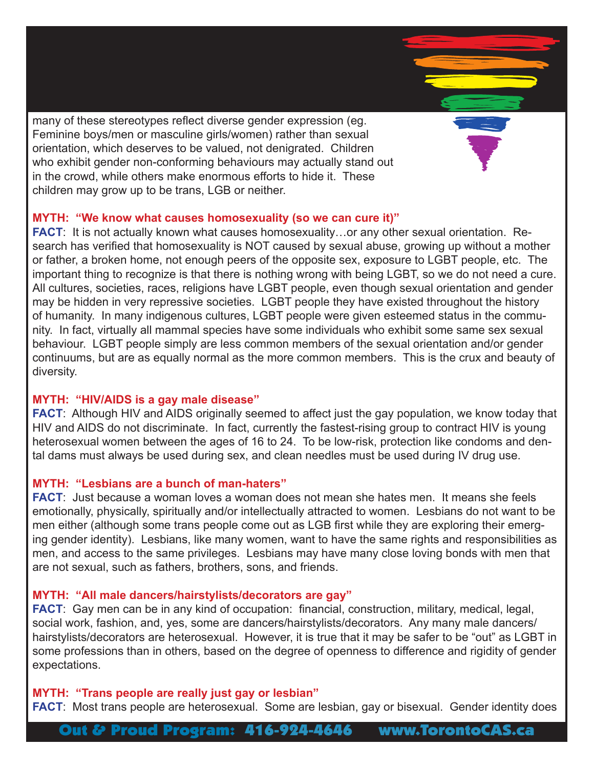many of these stereotypes reflect diverse gender expression (eg. Feminine boys/men or masculine girls/women) rather than sexual orientation, which deserves to be valued, not denigrated. Children who exhibit gender non-conforming behaviours may actually stand out in the crowd, while others make enormous efforts to hide it. These children may grow up to be trans, LGB or neither.

#### **MYTH: "We know what causes homosexuality (so we can cure it)"**

**FACT**: It is not actually known what causes homosexuality…or any other sexual orientation. Research has verified that homosexuality is NOT caused by sexual abuse, growing up without a mother or father, a broken home, not enough peers of the opposite sex, exposure to LGBT people, etc. The important thing to recognize is that there is nothing wrong with being LGBT, so we do not need a cure. All cultures, societies, races, religions have LGBT people, even though sexual orientation and gender may be hidden in very repressive societies. LGBT people they have existed throughout the history of humanity. In many indigenous cultures, LGBT people were given esteemed status in the community. In fact, virtually all mammal species have some individuals who exhibit some same sex sexual behaviour. LGBT people simply are less common members of the sexual orientation and/or gender continuums, but are as equally normal as the more common members. This is the crux and beauty of diversity.

# **MYTH: "HIV/AIDS is a gay male disease"**

**FACT**: Although HIV and AIDS originally seemed to affect just the gay population, we know today that HIV and AIDS do not discriminate. In fact, currently the fastest-rising group to contract HIV is young heterosexual women between the ages of 16 to 24. To be low-risk, protection like condoms and dental dams must always be used during sex, and clean needles must be used during IV drug use.

# **MYTH: "Lesbians are a bunch of man-haters"**

**FACT**: Just because a woman loves a woman does not mean she hates men. It means she feels emotionally, physically, spiritually and/or intellectually attracted to women. Lesbians do not want to be men either (although some trans people come out as LGB first while they are exploring their emerging gender identity). Lesbians, like many women, want to have the same rights and responsibilities as men, and access to the same privileges. Lesbians may have many close loving bonds with men that are not sexual, such as fathers, brothers, sons, and friends.

# **MYTH: "All male dancers/hairstylists/decorators are gay"**

**FACT**: Gay men can be in any kind of occupation: financial, construction, military, medical, legal, social work, fashion, and, yes, some are dancers/hairstylists/decorators. Any many male dancers/ hairstylists/decorators are heterosexual. However, it is true that it may be safer to be "out" as LGBT in some professions than in others, based on the degree of openness to difference and rigidity of gender expectations.

#### **MYTH: "Trans people are really just gay or lesbian"**

**FACT**: Most trans people are heterosexual. Some are lesbian, gay or bisexual. Gender identity does